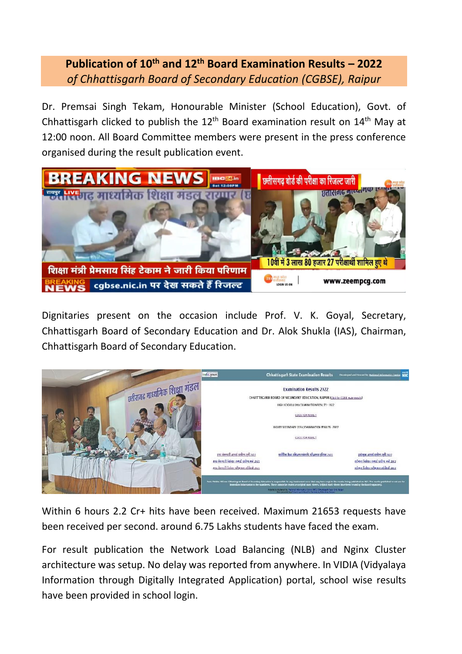## **Publication of 10th and 12 th Board Examination Results – 2022** *of Chhattisgarh Board of Secondary Education (CGBSE), Raipur*

Dr. Premsai Singh Tekam, Honourable Minister (School Education), Govt. of Chhattisgarh clicked to publish the  $12<sup>th</sup>$  Board examination result on  $14<sup>th</sup>$  May at 12:00 noon. All Board Committee members were present in the press conference organised during the result publication event.



Dignitaries present on the occasion include Prof. V. K. Goyal, Secretary, Chhattisgarh Board of Secondary Education and Dr. Alok Shukla (IAS), Chairman, Chhattisgarh Board of Secondary Education.



Within 6 hours 2.2 Cr+ hits have been received. Maximum 21653 requests have been received per second. around 6.75 Lakhs students have faced the exam.

For result publication the Network Load Balancing (NLB) and Nginx Cluster architecture was setup. No delay was reported from anywhere. In VIDIA (Vidyalaya Information through Digitally Integrated Application) portal, school wise results have been provided in school login.